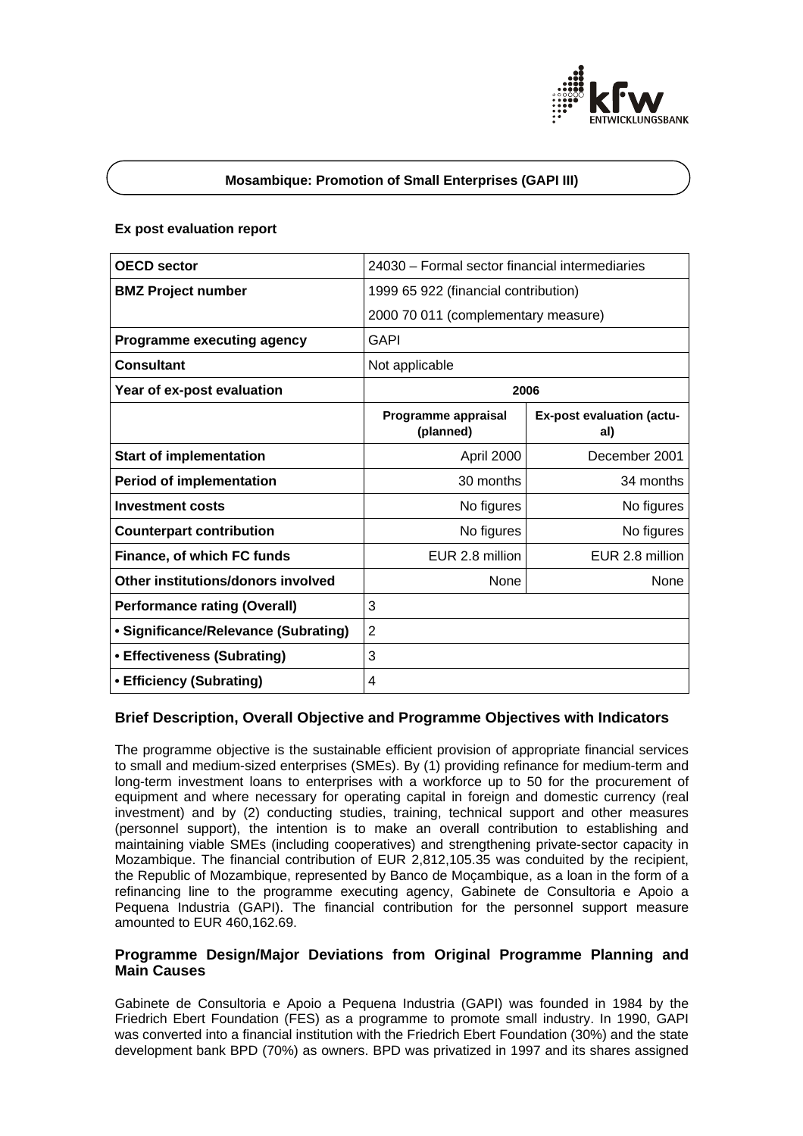

### **Mosambique: Promotion of Small Enterprises (GAPI III)**

## **Ex post evaluation report**

| <b>OECD</b> sector                   | 24030 – Formal sector financial intermediaries |                                  |
|--------------------------------------|------------------------------------------------|----------------------------------|
| <b>BMZ Project number</b>            | 1999 65 922 (financial contribution)           |                                  |
|                                      | 2000 70 011 (complementary measure)            |                                  |
| <b>Programme executing agency</b>    | <b>GAPI</b>                                    |                                  |
| <b>Consultant</b>                    | Not applicable                                 |                                  |
| Year of ex-post evaluation           | 2006                                           |                                  |
|                                      | Programme appraisal<br>(planned)               | Ex-post evaluation (actu-<br>al) |
| <b>Start of implementation</b>       | April 2000                                     | December 2001                    |
| <b>Period of implementation</b>      | 30 months                                      | 34 months                        |
| <b>Investment costs</b>              | No figures                                     | No figures                       |
| <b>Counterpart contribution</b>      | No figures                                     | No figures                       |
| Finance, of which FC funds           | EUR 2.8 million                                | EUR 2.8 million                  |
| Other institutions/donors involved   | None                                           | None                             |
| <b>Performance rating (Overall)</b>  | 3                                              |                                  |
| • Significance/Relevance (Subrating) | $\overline{2}$                                 |                                  |
| • Effectiveness (Subrating)          | 3                                              |                                  |
| • Efficiency (Subrating)             | 4                                              |                                  |

# **Brief Description, Overall Objective and Programme Objectives with Indicators**

The programme objective is the sustainable efficient provision of appropriate financial services to small and medium-sized enterprises (SMEs). By (1) providing refinance for medium-term and long-term investment loans to enterprises with a workforce up to 50 for the procurement of equipment and where necessary for operating capital in foreign and domestic currency (real investment) and by (2) conducting studies, training, technical support and other measures (personnel support), the intention is to make an overall contribution to establishing and maintaining viable SMEs (including cooperatives) and strengthening private-sector capacity in Mozambique. The financial contribution of EUR 2,812,105.35 was conduited by the recipient, the Republic of Mozambique, represented by Banco de Moçambique, as a loan in the form of a refinancing line to the programme executing agency, Gabinete de Consultoria e Apoio a Pequena Industria (GAPI). The financial contribution for the personnel support measure amounted to EUR 460,162.69.

# **Programme Design/Major Deviations from Original Programme Planning and Main Causes**

Gabinete de Consultoria e Apoio a Pequena Industria (GAPI) was founded in 1984 by the Friedrich Ebert Foundation (FES) as a programme to promote small industry. In 1990, GAPI was converted into a financial institution with the Friedrich Ebert Foundation (30%) and the state development bank BPD (70%) as owners. BPD was privatized in 1997 and its shares assigned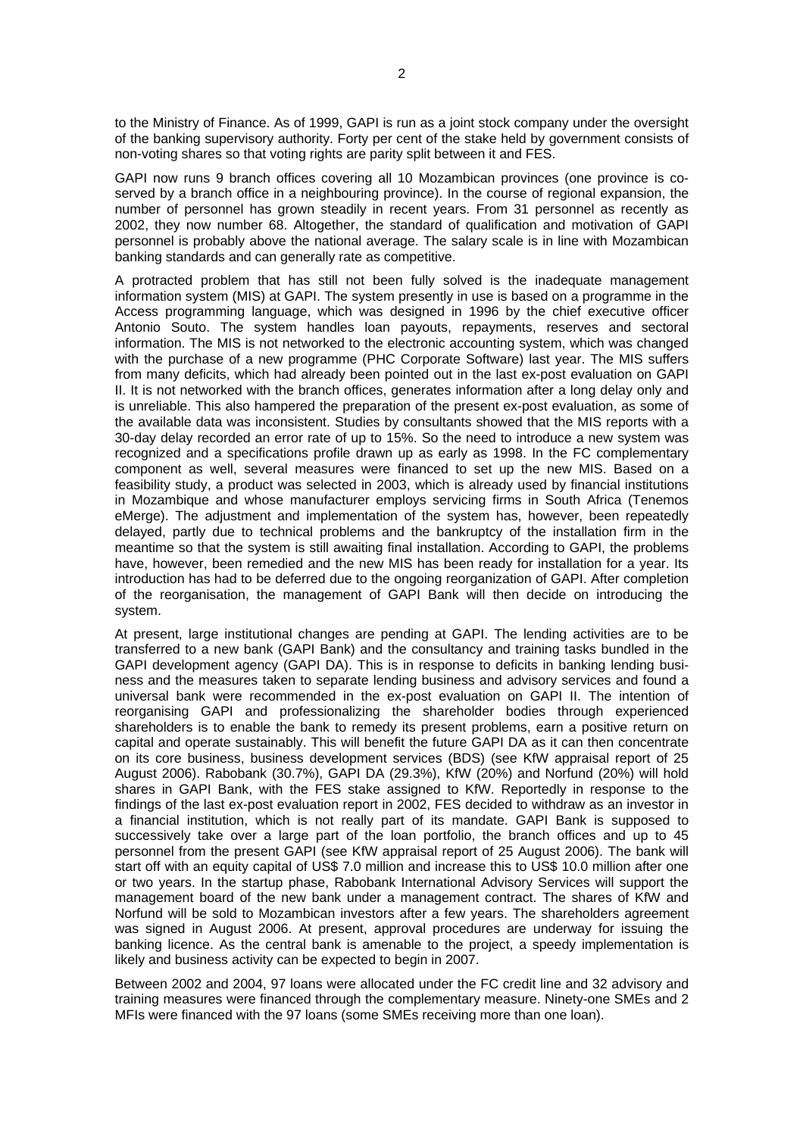to the Ministry of Finance. As of 1999, GAPI is run as a joint stock company under the oversight of the banking supervisory authority. Forty per cent of the stake held by government consists of non-voting shares so that voting rights are parity split between it and FES.

GAPI now runs 9 branch offices covering all 10 Mozambican provinces (one province is coserved by a branch office in a neighbouring province). In the course of regional expansion, the number of personnel has grown steadily in recent years. From 31 personnel as recently as 2002, they now number 68. Altogether, the standard of qualification and motivation of GAPI personnel is probably above the national average. The salary scale is in line with Mozambican banking standards and can generally rate as competitive.

A protracted problem that has still not been fully solved is the inadequate management information system (MIS) at GAPI. The system presently in use is based on a programme in the Access programming language, which was designed in 1996 by the chief executive officer Antonio Souto. The system handles loan payouts, repayments, reserves and sectoral information. The MIS is not networked to the electronic accounting system, which was changed with the purchase of a new programme (PHC Corporate Software) last year. The MIS suffers from many deficits, which had already been pointed out in the last ex-post evaluation on GAPI II. It is not networked with the branch offices, generates information after a long delay only and is unreliable. This also hampered the preparation of the present ex-post evaluation, as some of the available data was inconsistent. Studies by consultants showed that the MIS reports with a 30-day delay recorded an error rate of up to 15%. So the need to introduce a new system was recognized and a specifications profile drawn up as early as 1998. In the FC complementary component as well, several measures were financed to set up the new MIS. Based on a feasibility study, a product was selected in 2003, which is already used by financial institutions in Mozambique and whose manufacturer employs servicing firms in South Africa (Tenemos eMerge). The adjustment and implementation of the system has, however, been repeatedly delayed, partly due to technical problems and the bankruptcy of the installation firm in the meantime so that the system is still awaiting final installation. According to GAPI, the problems have, however, been remedied and the new MIS has been ready for installation for a year. Its introduction has had to be deferred due to the ongoing reorganization of GAPI. After completion of the reorganisation, the management of GAPI Bank will then decide on introducing the system.

At present, large institutional changes are pending at GAPI. The lending activities are to be transferred to a new bank (GAPI Bank) and the consultancy and training tasks bundled in the GAPI development agency (GAPI DA). This is in response to deficits in banking lending business and the measures taken to separate lending business and advisory services and found a universal bank were recommended in the ex-post evaluation on GAPI II. The intention of reorganising GAPI and professionalizing the shareholder bodies through experienced shareholders is to enable the bank to remedy its present problems, earn a positive return on capital and operate sustainably. This will benefit the future GAPI DA as it can then concentrate on its core business, business development services (BDS) (see KfW appraisal report of 25 August 2006). Rabobank (30.7%), GAPI DA (29.3%), KfW (20%) and Norfund (20%) will hold shares in GAPI Bank, with the FES stake assigned to KfW. Reportedly in response to the findings of the last ex-post evaluation report in 2002, FES decided to withdraw as an investor in a financial institution, which is not really part of its mandate. GAPI Bank is supposed to successively take over a large part of the loan portfolio, the branch offices and up to 45 personnel from the present GAPI (see KfW appraisal report of 25 August 2006). The bank will start off with an equity capital of US\$ 7.0 million and increase this to US\$ 10.0 million after one or two years. In the startup phase, Rabobank International Advisory Services will support the management board of the new bank under a management contract. The shares of KfW and Norfund will be sold to Mozambican investors after a few years. The shareholders agreement was signed in August 2006. At present, approval procedures are underway for issuing the banking licence. As the central bank is amenable to the project, a speedy implementation is likely and business activity can be expected to begin in 2007.

Between 2002 and 2004, 97 loans were allocated under the FC credit line and 32 advisory and training measures were financed through the complementary measure. Ninety-one SMEs and 2 MFIs were financed with the 97 loans (some SMEs receiving more than one loan).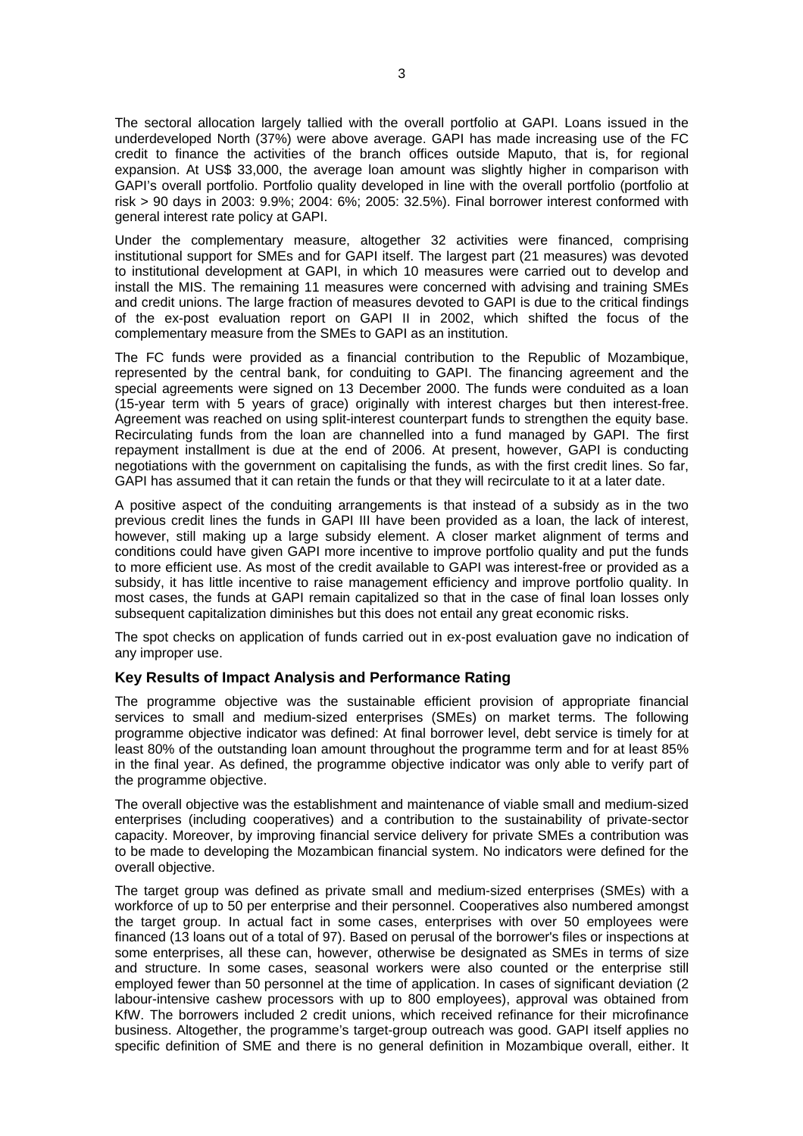The sectoral allocation largely tallied with the overall portfolio at GAPI. Loans issued in the underdeveloped North (37%) were above average. GAPI has made increasing use of the FC credit to finance the activities of the branch offices outside Maputo, that is, for regional expansion. At US\$ 33,000, the average loan amount was slightly higher in comparison with GAPI's overall portfolio. Portfolio quality developed in line with the overall portfolio (portfolio at risk > 90 days in 2003: 9.9%; 2004: 6%; 2005: 32.5%). Final borrower interest conformed with general interest rate policy at GAPI.

Under the complementary measure, altogether 32 activities were financed, comprising institutional support for SMEs and for GAPI itself. The largest part (21 measures) was devoted to institutional development at GAPI, in which 10 measures were carried out to develop and install the MIS. The remaining 11 measures were concerned with advising and training SMEs and credit unions. The large fraction of measures devoted to GAPI is due to the critical findings of the ex-post evaluation report on GAPI II in 2002, which shifted the focus of the complementary measure from the SMEs to GAPI as an institution.

The FC funds were provided as a financial contribution to the Republic of Mozambique, represented by the central bank, for conduiting to GAPI. The financing agreement and the special agreements were signed on 13 December 2000. The funds were conduited as a loan (15-year term with 5 years of grace) originally with interest charges but then interest-free. Agreement was reached on using split-interest counterpart funds to strengthen the equity base. Recirculating funds from the loan are channelled into a fund managed by GAPI. The first repayment installment is due at the end of 2006. At present, however, GAPI is conducting negotiations with the government on capitalising the funds, as with the first credit lines. So far, GAPI has assumed that it can retain the funds or that they will recirculate to it at a later date.

A positive aspect of the conduiting arrangements is that instead of a subsidy as in the two previous credit lines the funds in GAPI III have been provided as a loan, the lack of interest, however, still making up a large subsidy element. A closer market alignment of terms and conditions could have given GAPI more incentive to improve portfolio quality and put the funds to more efficient use. As most of the credit available to GAPI was interest-free or provided as a subsidy, it has little incentive to raise management efficiency and improve portfolio quality. In most cases, the funds at GAPI remain capitalized so that in the case of final loan losses only subsequent capitalization diminishes but this does not entail any great economic risks.

The spot checks on application of funds carried out in ex-post evaluation gave no indication of any improper use.

# **Key Results of Impact Analysis and Performance Rating**

The programme objective was the sustainable efficient provision of appropriate financial services to small and medium-sized enterprises (SMEs) on market terms. The following programme objective indicator was defined: At final borrower level, debt service is timely for at least 80% of the outstanding loan amount throughout the programme term and for at least 85% in the final year. As defined, the programme objective indicator was only able to verify part of the programme objective.

The overall objective was the establishment and maintenance of viable small and medium-sized enterprises (including cooperatives) and a contribution to the sustainability of private-sector capacity. Moreover, by improving financial service delivery for private SMEs a contribution was to be made to developing the Mozambican financial system. No indicators were defined for the overall objective.

The target group was defined as private small and medium-sized enterprises (SMEs) with a workforce of up to 50 per enterprise and their personnel. Cooperatives also numbered amongst the target group. In actual fact in some cases, enterprises with over 50 employees were financed (13 loans out of a total of 97). Based on perusal of the borrower's files or inspections at some enterprises, all these can, however, otherwise be designated as SMEs in terms of size and structure. In some cases, seasonal workers were also counted or the enterprise still employed fewer than 50 personnel at the time of application. In cases of significant deviation (2 labour-intensive cashew processors with up to 800 employees), approval was obtained from KfW. The borrowers included 2 credit unions, which received refinance for their microfinance business. Altogether, the programme's target-group outreach was good. GAPI itself applies no specific definition of SME and there is no general definition in Mozambique overall, either. It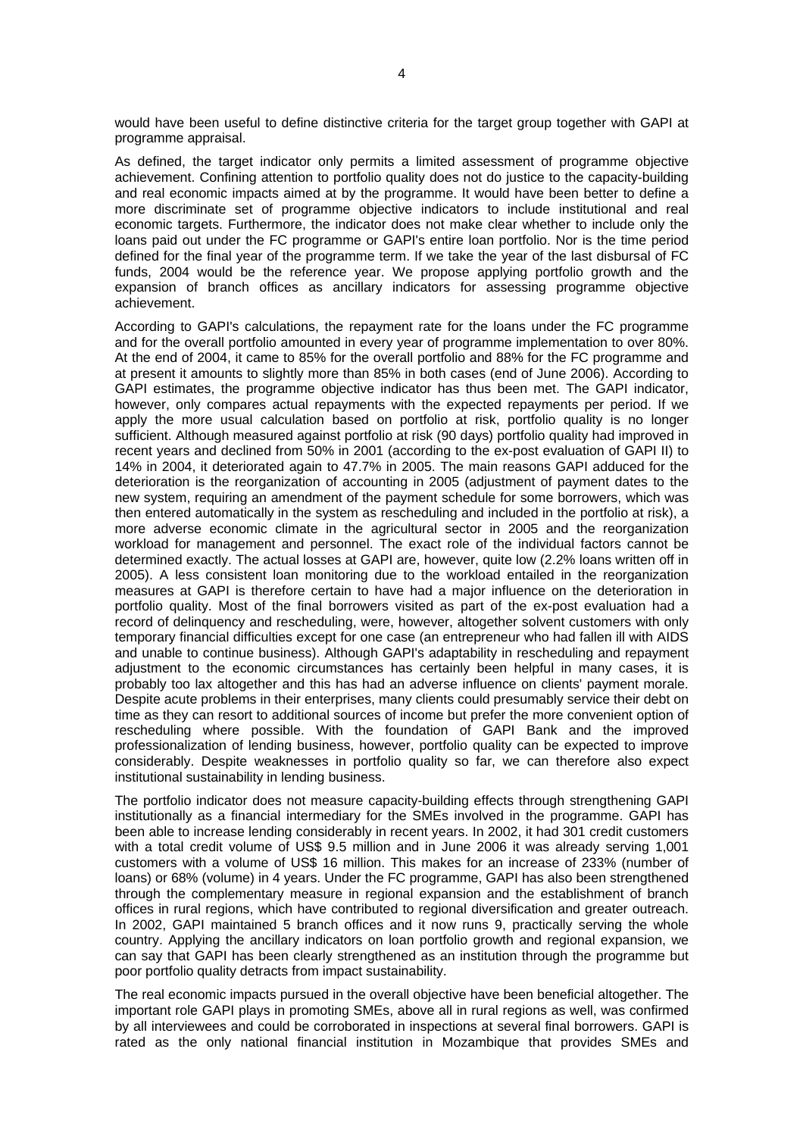would have been useful to define distinctive criteria for the target group together with GAPI at programme appraisal.

As defined, the target indicator only permits a limited assessment of programme objective achievement. Confining attention to portfolio quality does not do justice to the capacity-building and real economic impacts aimed at by the programme. It would have been better to define a more discriminate set of programme objective indicators to include institutional and real economic targets. Furthermore, the indicator does not make clear whether to include only the loans paid out under the FC programme or GAPI's entire loan portfolio. Nor is the time period defined for the final year of the programme term. If we take the year of the last disbursal of FC funds, 2004 would be the reference year. We propose applying portfolio growth and the expansion of branch offices as ancillary indicators for assessing programme objective achievement.

According to GAPI's calculations, the repayment rate for the loans under the FC programme and for the overall portfolio amounted in every year of programme implementation to over 80%. At the end of 2004, it came to 85% for the overall portfolio and 88% for the FC programme and at present it amounts to slightly more than 85% in both cases (end of June 2006). According to GAPI estimates, the programme objective indicator has thus been met. The GAPI indicator, however, only compares actual repayments with the expected repayments per period. If we apply the more usual calculation based on portfolio at risk, portfolio quality is no longer sufficient. Although measured against portfolio at risk (90 days) portfolio quality had improved in recent years and declined from 50% in 2001 (according to the ex-post evaluation of GAPI II) to 14% in 2004, it deteriorated again to 47.7% in 2005. The main reasons GAPI adduced for the deterioration is the reorganization of accounting in 2005 (adjustment of payment dates to the new system, requiring an amendment of the payment schedule for some borrowers, which was then entered automatically in the system as rescheduling and included in the portfolio at risk), a more adverse economic climate in the agricultural sector in 2005 and the reorganization workload for management and personnel. The exact role of the individual factors cannot be determined exactly. The actual losses at GAPI are, however, quite low (2.2% loans written off in 2005). A less consistent loan monitoring due to the workload entailed in the reorganization measures at GAPI is therefore certain to have had a major influence on the deterioration in portfolio quality. Most of the final borrowers visited as part of the ex-post evaluation had a record of delinquency and rescheduling, were, however, altogether solvent customers with only temporary financial difficulties except for one case (an entrepreneur who had fallen ill with AIDS and unable to continue business). Although GAPI's adaptability in rescheduling and repayment adjustment to the economic circumstances has certainly been helpful in many cases, it is probably too lax altogether and this has had an adverse influence on clients' payment morale. Despite acute problems in their enterprises, many clients could presumably service their debt on time as they can resort to additional sources of income but prefer the more convenient option of rescheduling where possible. With the foundation of GAPI Bank and the improved professionalization of lending business, however, portfolio quality can be expected to improve considerably. Despite weaknesses in portfolio quality so far, we can therefore also expect institutional sustainability in lending business.

The portfolio indicator does not measure capacity-building effects through strengthening GAPI institutionally as a financial intermediary for the SMEs involved in the programme. GAPI has been able to increase lending considerably in recent years. In 2002, it had 301 credit customers with a total credit volume of US\$ 9.5 million and in June 2006 it was already serving 1,001 customers with a volume of US\$ 16 million. This makes for an increase of 233% (number of loans) or 68% (volume) in 4 years. Under the FC programme, GAPI has also been strengthened through the complementary measure in regional expansion and the establishment of branch offices in rural regions, which have contributed to regional diversification and greater outreach. In 2002, GAPI maintained 5 branch offices and it now runs 9, practically serving the whole country. Applying the ancillary indicators on loan portfolio growth and regional expansion, we can say that GAPI has been clearly strengthened as an institution through the programme but poor portfolio quality detracts from impact sustainability.

The real economic impacts pursued in the overall objective have been beneficial altogether. The important role GAPI plays in promoting SMEs, above all in rural regions as well, was confirmed by all interviewees and could be corroborated in inspections at several final borrowers. GAPI is rated as the only national financial institution in Mozambique that provides SMEs and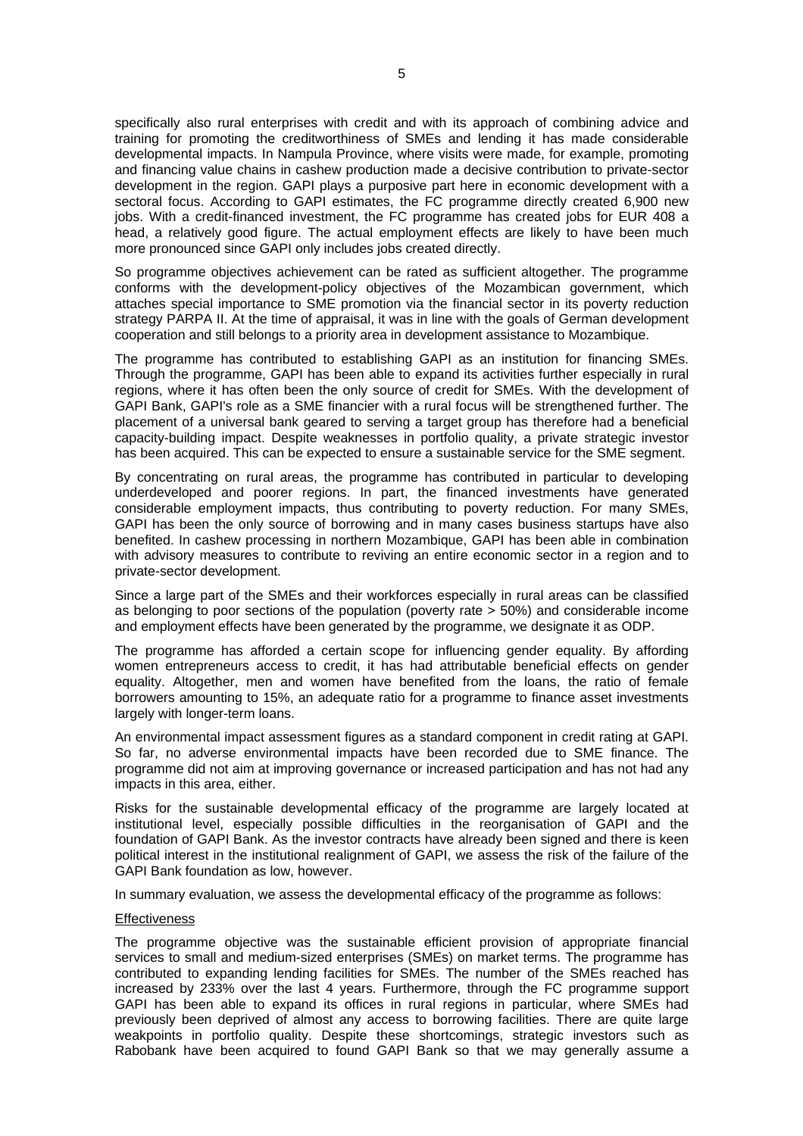specifically also rural enterprises with credit and with its approach of combining advice and training for promoting the creditworthiness of SMEs and lending it has made considerable developmental impacts. In Nampula Province, where visits were made, for example, promoting and financing value chains in cashew production made a decisive contribution to private-sector development in the region. GAPI plays a purposive part here in economic development with a sectoral focus. According to GAPI estimates, the FC programme directly created 6,900 new jobs. With a credit-financed investment, the FC programme has created jobs for EUR 408 a head, a relatively good figure. The actual employment effects are likely to have been much more pronounced since GAPI only includes jobs created directly.

So programme objectives achievement can be rated as sufficient altogether. The programme conforms with the development-policy objectives of the Mozambican government, which attaches special importance to SME promotion via the financial sector in its poverty reduction strategy PARPA II. At the time of appraisal, it was in line with the goals of German development cooperation and still belongs to a priority area in development assistance to Mozambique.

The programme has contributed to establishing GAPI as an institution for financing SMEs. Through the programme, GAPI has been able to expand its activities further especially in rural regions, where it has often been the only source of credit for SMEs. With the development of GAPI Bank, GAPI's role as a SME financier with a rural focus will be strengthened further. The placement of a universal bank geared to serving a target group has therefore had a beneficial capacity-building impact. Despite weaknesses in portfolio quality, a private strategic investor has been acquired. This can be expected to ensure a sustainable service for the SME segment.

By concentrating on rural areas, the programme has contributed in particular to developing underdeveloped and poorer regions. In part, the financed investments have generated considerable employment impacts, thus contributing to poverty reduction. For many SMEs, GAPI has been the only source of borrowing and in many cases business startups have also benefited. In cashew processing in northern Mozambique, GAPI has been able in combination with advisory measures to contribute to reviving an entire economic sector in a region and to private-sector development.

Since a large part of the SMEs and their workforces especially in rural areas can be classified as belonging to poor sections of the population (poverty rate > 50%) and considerable income and employment effects have been generated by the programme, we designate it as ODP.

The programme has afforded a certain scope for influencing gender equality. By affording women entrepreneurs access to credit, it has had attributable beneficial effects on gender equality. Altogether, men and women have benefited from the loans, the ratio of female borrowers amounting to 15%, an adequate ratio for a programme to finance asset investments largely with longer-term loans.

An environmental impact assessment figures as a standard component in credit rating at GAPI. So far, no adverse environmental impacts have been recorded due to SME finance. The programme did not aim at improving governance or increased participation and has not had any impacts in this area, either.

Risks for the sustainable developmental efficacy of the programme are largely located at institutional level, especially possible difficulties in the reorganisation of GAPI and the foundation of GAPI Bank. As the investor contracts have already been signed and there is keen political interest in the institutional realignment of GAPI, we assess the risk of the failure of the GAPI Bank foundation as low, however.

In summary evaluation, we assess the developmental efficacy of the programme as follows:

#### **Effectiveness**

The programme objective was the sustainable efficient provision of appropriate financial services to small and medium-sized enterprises (SMEs) on market terms. The programme has contributed to expanding lending facilities for SMEs. The number of the SMEs reached has increased by 233% over the last 4 years. Furthermore, through the FC programme support GAPI has been able to expand its offices in rural regions in particular, where SMEs had previously been deprived of almost any access to borrowing facilities. There are quite large weakpoints in portfolio quality. Despite these shortcomings, strategic investors such as Rabobank have been acquired to found GAPI Bank so that we may generally assume a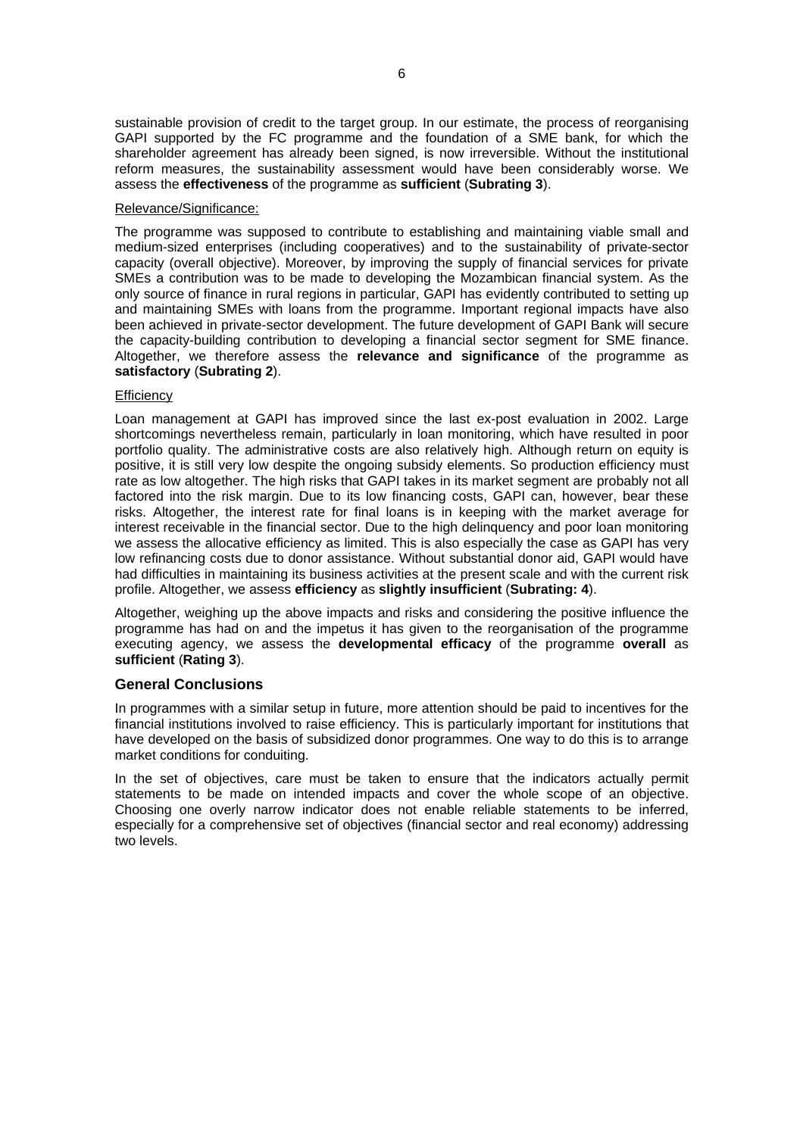sustainable provision of credit to the target group. In our estimate, the process of reorganising GAPI supported by the FC programme and the foundation of a SME bank, for which the shareholder agreement has already been signed, is now irreversible. Without the institutional reform measures, the sustainability assessment would have been considerably worse. We assess the **effectiveness** of the programme as **sufficient** (**Subrating 3**).

### Relevance/Significance:

The programme was supposed to contribute to establishing and maintaining viable small and medium-sized enterprises (including cooperatives) and to the sustainability of private-sector capacity (overall objective). Moreover, by improving the supply of financial services for private SMEs a contribution was to be made to developing the Mozambican financial system. As the only source of finance in rural regions in particular, GAPI has evidently contributed to setting up and maintaining SMEs with loans from the programme. Important regional impacts have also been achieved in private-sector development. The future development of GAPI Bank will secure the capacity-building contribution to developing a financial sector segment for SME finance. Altogether, we therefore assess the **relevance and significance** of the programme as **satisfactory** (**Subrating 2**).

### **Efficiency**

Loan management at GAPI has improved since the last ex-post evaluation in 2002. Large shortcomings nevertheless remain, particularly in loan monitoring, which have resulted in poor portfolio quality. The administrative costs are also relatively high. Although return on equity is positive, it is still very low despite the ongoing subsidy elements. So production efficiency must rate as low altogether. The high risks that GAPI takes in its market segment are probably not all factored into the risk margin. Due to its low financing costs, GAPI can, however, bear these risks. Altogether, the interest rate for final loans is in keeping with the market average for interest receivable in the financial sector. Due to the high delinquency and poor loan monitoring we assess the allocative efficiency as limited. This is also especially the case as GAPI has very low refinancing costs due to donor assistance. Without substantial donor aid, GAPI would have had difficulties in maintaining its business activities at the present scale and with the current risk profile. Altogether, we assess **efficiency** as **slightly insufficient** (**Subrating: 4**).

Altogether, weighing up the above impacts and risks and considering the positive influence the programme has had on and the impetus it has given to the reorganisation of the programme executing agency, we assess the **developmental efficacy** of the programme **overall** as **sufficient** (**Rating 3**).

# **General Conclusions**

In programmes with a similar setup in future, more attention should be paid to incentives for the financial institutions involved to raise efficiency. This is particularly important for institutions that have developed on the basis of subsidized donor programmes. One way to do this is to arrange market conditions for conduiting.

In the set of objectives, care must be taken to ensure that the indicators actually permit statements to be made on intended impacts and cover the whole scope of an objective. Choosing one overly narrow indicator does not enable reliable statements to be inferred, especially for a comprehensive set of objectives (financial sector and real economy) addressing two levels.